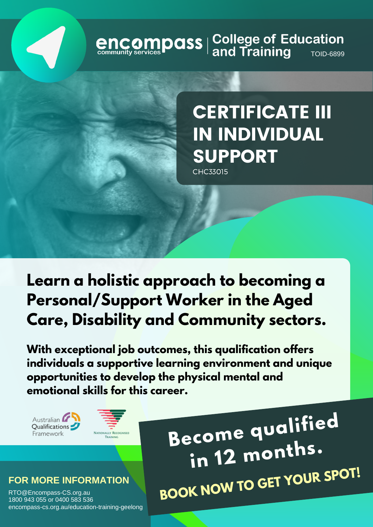# **encompass** | College of Education<br>
community services **Pand Training**

# CERTIFICATE III IN INDIVIDUAL SUPPORT

CHC33015

## **Learn a holistic approach to becoming a Personal/Support Worker in the Aged Care, Disability and Community sectors.**

**With exceptional job outcomes, this qualification offers individuals a supportive learning environment and unique opportunities to develop the physical mental and emotional skills for this career.**





#### **FOR MORE INFORMATION**

RTO@Encompass-CS.org.au 1800 943 055 or 0400 583 536 encompass-cs.org.au/education-training-geelong

**Become qualifie<sup>d</sup> in <sup>12</sup> months. BOOK NOW TO GET YOUR SPOT!**